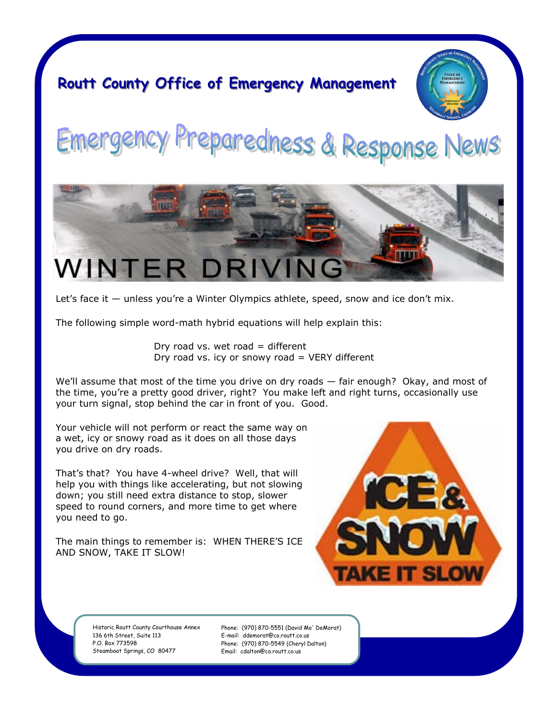### **Routt County Office of Emergency Management**



## reparedness & Response News Emergency



Let's face it — unless you're a Winter Olympics athlete, speed, snow and ice don't mix.

The following simple word-math hybrid equations will help explain this:

Dry road vs. wet road  $=$  different Dry road vs. icy or snowy road  $=$  VERY different

We'll assume that most of the time you drive on dry roads — fair enough? Okay, and most of the time, you're a pretty good driver, right? You make left and right turns, occasionally use your turn signal, stop behind the car in front of you. Good.

Your vehicle will not perform or react the same way on a wet, icy or snowy road as it does on all those days you drive on dry roads.

That's that? You have 4-wheel drive? Well, that will help you with things like accelerating, but not slowing down; you still need extra distance to stop, slower speed to round corners, and more time to get where you need to go.

The main things to remember is: WHEN THERE'S ICE AND SNOW, TAKE IT SLOW!



Historic Routt County Courthouse Annex 136 6th Street, Suite 113 P.O. Box 773598 Steamboat Springs, CO 80477

Phone: (970) 870-5551 (David Mo' DeMorat) E-mail: ddemorat@co.routt.co.us Phone: (970) 870-5549 (Cheryl Dalton) Email: cdalton@co.routt.co.us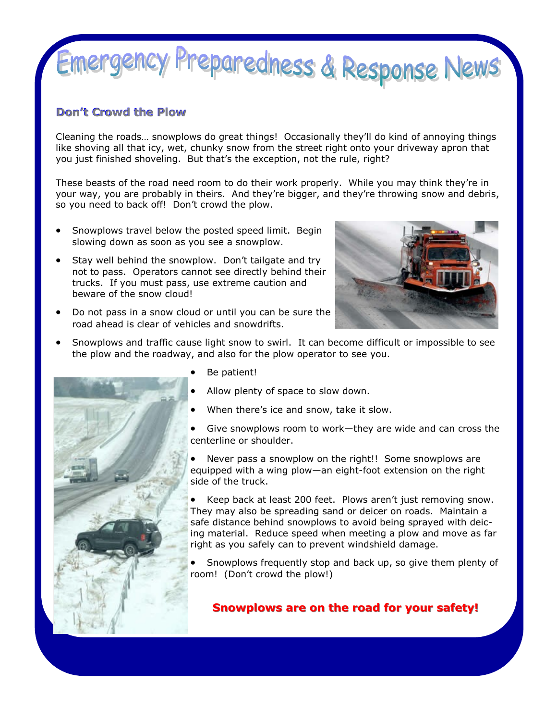## Emergency Preparedness & Response News

#### **Don't Crowd the Plow**

Cleaning the roads… snowplows do great things! Occasionally they'll do kind of annoying things like shoving all that icy, wet, chunky snow from the street right onto your driveway apron that you just finished shoveling. But that's the exception, not the rule, right?

These beasts of the road need room to do their work properly. While you may think they're in your way, you are probably in theirs. And they're bigger, and they're throwing snow and debris, so you need to back off! Don't crowd the plow.

- Snowplows travel below the posted speed limit. Begin slowing down as soon as you see a snowplow.
- Stay well behind the snowplow. Don't tailgate and try not to pass. Operators cannot see directly behind their trucks. If you must pass, use extreme caution and beware of the snow cloud!
- 
- Do not pass in a snow cloud or until you can be sure the road ahead is clear of vehicles and snowdrifts.
- Snowplows and traffic cause light snow to swirl. It can become difficult or impossible to see the plow and the roadway, and also for the plow operator to see you.



- Be patient!
- Allow plenty of space to slow down.
- When there's ice and snow, take it slow.
- Give snowplows room to work—they are wide and can cross the centerline or shoulder.
- Never pass a snowplow on the right!! Some snowplows are equipped with a wing plow—an eight-foot extension on the right side of the truck.

 Keep back at least 200 feet. Plows aren't just removing snow. They may also be spreading sand or deicer on roads. Maintain a safe distance behind snowplows to avoid being sprayed with deicing material. Reduce speed when meeting a plow and move as far right as you safely can to prevent windshield damage.

 Snowplows frequently stop and back up, so give them plenty of room! (Don't crowd the plow!)

**Snowplows are on the road for your safety!**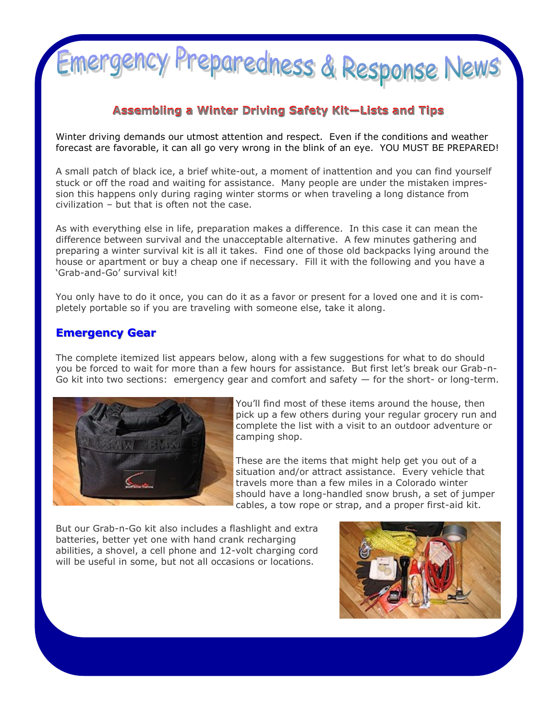

#### **Assembling a Winter Driving Safety Kit—Lists and Tips**

Winter driving demands our utmost attention and respect. Even if the conditions and weather forecast are favorable, it can all go very wrong in the blink of an eye. YOU MUST BE PREPARED!

A small patch of black ice, a brief white-out, a moment of inattention and you can find yourself stuck or off the road and waiting for assistance. Many people are under the mistaken impression this happens only during raging winter storms or when traveling a long distance from civilization – but that is often not the case.

As with everything else in life, preparation makes a difference. In this case it can mean the difference between survival and the unacceptable alternative. A few minutes gathering and preparing a winter survival kit is all it takes. Find one of those old backpacks lying around the house or apartment or buy a cheap one if necessary. Fill it with the following and you have a 'Grab-and-Go' survival kit!

You only have to do it once, you can do it as a favor or present for a loved one and it is completely portable so if you are traveling with someone else, take it along.

#### **Emergency Gear**

The complete itemized list appears below, along with a few suggestions for what to do should you be forced to wait for more than a few hours for assistance. But first let's break our Grab-n-Go kit into two sections: emergency gear and comfort and safety  $-$  for the short- or long-term.



You'll find most of these items around the house, then pick up a few others during your regular grocery run and complete the list with a visit to an outdoor adventure or camping shop.

These are the items that might help get you out of a situation and/or attract assistance. Every vehicle that travels more than a few miles in a Colorado winter should have a long-handled snow brush, a set of jumper cables, a tow rope or strap, and a proper first-aid kit.

But our Grab-n-Go kit also includes a flashlight and extra batteries, better yet one with hand crank recharging abilities, a shovel, a cell phone and 12-volt charging cord will be useful in some, but not all occasions or locations.

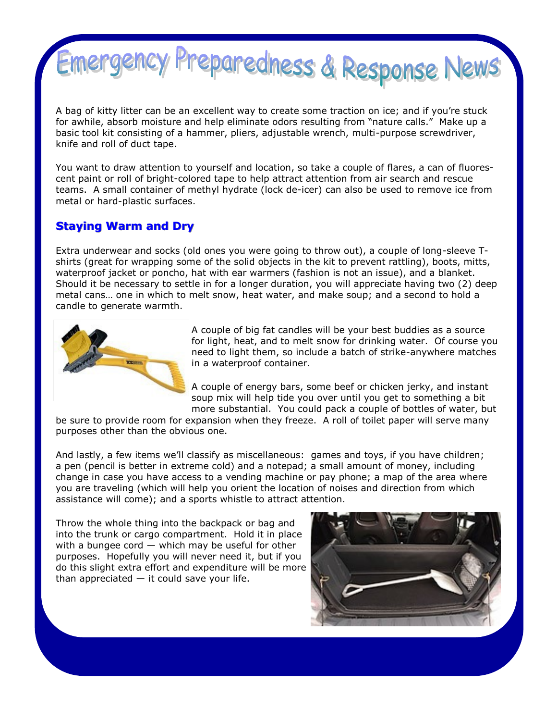

A bag of kitty litter can be an excellent way to create some traction on ice; and if you're stuck for awhile, absorb moisture and help eliminate odors resulting from "nature calls." Make up a basic tool kit consisting of a hammer, pliers, adjustable wrench, multi-purpose screwdriver, knife and roll of duct tape.

You want to draw attention to yourself and location, so take a couple of flares, a can of fluorescent paint or roll of bright-colored tape to help attract attention from air search and rescue teams. A small container of methyl hydrate (lock de-icer) can also be used to remove ice from metal or hard-plastic surfaces.

#### **Staying Warm and Dry**

Extra underwear and socks (old ones you were going to throw out), a couple of long-sleeve Tshirts (great for wrapping some of the solid objects in the kit to prevent rattling), boots, mitts, waterproof jacket or poncho, hat with ear warmers (fashion is not an issue), and a blanket. Should it be necessary to settle in for a longer duration, you will appreciate having two (2) deep metal cans… one in which to melt snow, heat water, and make soup; and a second to hold a candle to generate warmth.



A couple of big fat candles will be your best buddies as a source for light, heat, and to melt snow for drinking water. Of course you need to light them, so include a batch of strike-anywhere matches in a waterproof container.

A couple of energy bars, some beef or chicken jerky, and instant soup mix will help tide you over until you get to something a bit more substantial. You could pack a couple of bottles of water, but

be sure to provide room for expansion when they freeze. A roll of toilet paper will serve many purposes other than the obvious one.

And lastly, a few items we'll classify as miscellaneous: games and toys, if you have children; a pen (pencil is better in extreme cold) and a notepad; a small amount of money, including change in case you have access to a vending machine or pay phone; a map of the area where you are traveling (which will help you orient the location of noises and direction from which assistance will come); and a sports whistle to attract attention.

Throw the whole thing into the backpack or bag and into the trunk or cargo compartment. Hold it in place with a bungee cord  $-$  which may be useful for other purposes. Hopefully you will never need it, but if you do this slight extra effort and expenditure will be more than appreciated  $-$  it could save your life.